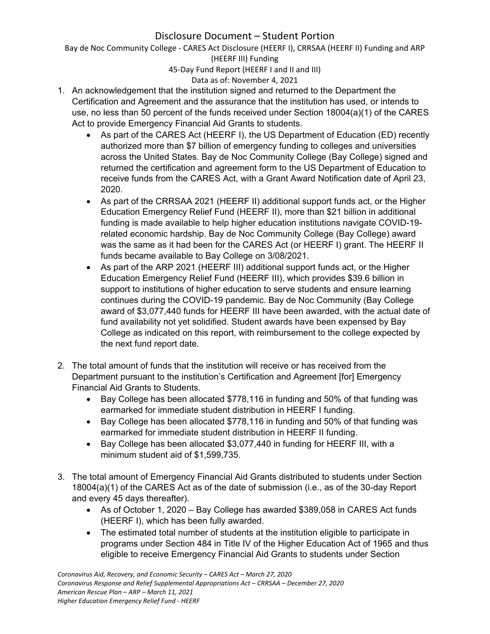Bay de Noc Community College ‐ CARES Act Disclosure (HEERF I), CRRSAA (HEERF II) Funding and ARP (HEERF III) Funding

45‐Day Fund Report (HEERF I and II and III)

Data as of: November 4, 2021

- 1. An acknowledgement that the institution signed and returned to the Department the Certification and Agreement and the assurance that the institution has used, or intends to use, no less than 50 percent of the funds received under Section 18004(a)(1) of the CARES Act to provide Emergency Financial Aid Grants to students.
	- As part of the CARES Act (HEERF I), the US Department of Education (ED) recently authorized more than \$7 billion of emergency funding to colleges and universities across the United States. Bay de Noc Community College (Bay College) signed and returned the certification and agreement form to the US Department of Education to receive funds from the CARES Act, with a Grant Award Notification date of April 23, 2020.
	- As part of the CRRSAA 2021 (HEERF II) additional support funds act, or the Higher Education Emergency Relief Fund (HEERF II), more than \$21 billion in additional funding is made available to help higher education institutions navigate COVID-19 related economic hardship. Bay de Noc Community College (Bay College) award was the same as it had been for the CARES Act (or HEERF I) grant. The HEERF II funds became available to Bay College on 3/08/2021.
	- As part of the ARP 2021 (HEERF III) additional support funds act, or the Higher Education Emergency Relief Fund (HEERF III), which provides \$39.6 billion in support to institutions of higher education to serve students and ensure learning continues during the COVID-19 pandemic. Bay de Noc Community (Bay College award of \$3,077,440 funds for HEERF III have been awarded, with the actual date of fund availability not yet solidified. Student awards have been expensed by Bay College as indicated on this report, with reimbursement to the college expected by the next fund report date.
- 2. The total amount of funds that the institution will receive or has received from the Department pursuant to the institution's Certification and Agreement [for] Emergency Financial Aid Grants to Students.
	- Bay College has been allocated \$778,116 in funding and 50% of that funding was earmarked for immediate student distribution in HEERF I funding.
	- Bay College has been allocated \$778,116 in funding and 50% of that funding was earmarked for immediate student distribution in HEERF II funding.
	- Bay College has been allocated \$3,077,440 in funding for HEERF III, with a minimum student aid of \$1,599,735.
- 3. The total amount of Emergency Financial Aid Grants distributed to students under Section 18004(a)(1) of the CARES Act as of the date of submission (i.e., as of the 30-day Report and every 45 days thereafter).
	- As of October 1, 2020 Bay College has awarded \$389,058 in CARES Act funds (HEERF I), which has been fully awarded.
	- The estimated total number of students at the institution eligible to participate in programs under Section 484 in Title IV of the Higher Education Act of 1965 and thus eligible to receive Emergency Financial Aid Grants to students under Section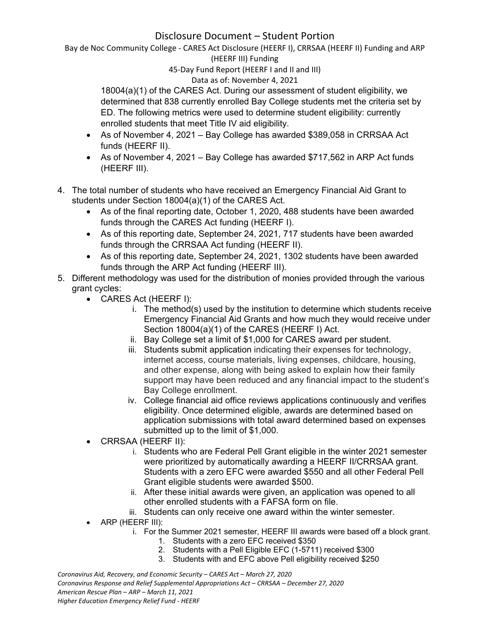Bay de Noc Community College ‐ CARES Act Disclosure (HEERF I), CRRSAA (HEERF II) Funding and ARP (HEERF III) Funding

45‐Day Fund Report (HEERF I and II and III)

#### Data as of: November 4, 2021

18004(a)(1) of the CARES Act. During our assessment of student eligibility, we determined that 838 currently enrolled Bay College students met the criteria set by ED. The following metrics were used to determine student eligibility: currently enrolled students that meet Title IV aid eligibility.

- As of November 4, 2021 Bay College has awarded \$389,058 in CRRSAA Act funds (HEERF II).
- As of November 4, 2021 Bay College has awarded \$717,562 in ARP Act funds (HEERF III).
- 4. The total number of students who have received an Emergency Financial Aid Grant to students under Section 18004(a)(1) of the CARES Act.
	- As of the final reporting date, October 1, 2020, 488 students have been awarded funds through the CARES Act funding (HEERF I).
	- As of this reporting date, September 24, 2021, 717 students have been awarded funds through the CRRSAA Act funding (HEERF II).
	- As of this reporting date, September 24, 2021, 1302 students have been awarded funds through the ARP Act funding (HEERF III).
- 5. Different methodology was used for the distribution of monies provided through the various grant cycles:
	- CARES Act (HEERF I):
		- i. The method(s) used by the institution to determine which students receive Emergency Financial Aid Grants and how much they would receive under Section 18004(a)(1) of the CARES (HEERF I) Act.
		- ii. Bay College set a limit of \$1,000 for CARES award per student.
		- iii. Students submit application indicating their expenses for technology, internet access, course materials, living expenses, childcare, housing, and other expense, along with being asked to explain how their family support may have been reduced and any financial impact to the student's Bay College enrollment.
		- iv. College financial aid office reviews applications continuously and verifies eligibility. Once determined eligible, awards are determined based on application submissions with total award determined based on expenses submitted up to the limit of \$1,000.
	- CRRSAA (HEERF II):
		- i. Students who are Federal Pell Grant eligible in the winter 2021 semester were prioritized by automatically awarding a HEERF II/CRRSAA grant. Students with a zero EFC were awarded \$550 and all other Federal Pell Grant eligible students were awarded \$500.
		- ii. After these initial awards were given, an application was opened to all other enrolled students with a FAFSA form on file.
		- iii. Students can only receive one award within the winter semester.
	- ARP (HEERF III):
		- i. For the Summer 2021 semester, HEERF III awards were based off a block grant.
			- 1. Students with a zero EFC received \$350
			- 2. Students with a Pell Eligible EFC (1-5711) received \$300
			- 3. Students with and EFC above Pell eligibility received \$250

*Coronavirus Aid, Recovery, and Economic Security – CARES Act – March 27, 2020 Coronavirus Response and Relief Supplemental Appropriations Act – CRRSAA – December 27, 2020 American Rescue Plan – ARP – March 11, 2021 Higher Education Emergency Relief Fund ‐ HEERF*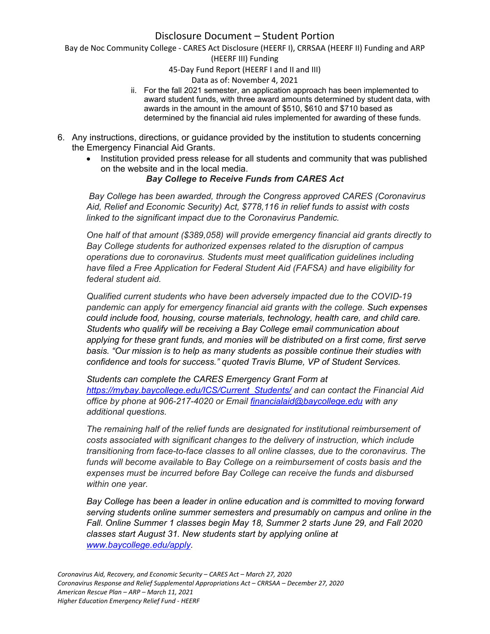Bay de Noc Community College ‐ CARES Act Disclosure (HEERF I), CRRSAA (HEERF II) Funding and ARP

(HEERF III) Funding

45‐Day Fund Report (HEERF I and II and III)

Data as of: November 4, 2021

- ii. For the fall 2021 semester, an application approach has been implemented to award student funds, with three award amounts determined by student data, with awards in the amount in the amount of \$510, \$610 and \$710 based as determined by the financial aid rules implemented for awarding of these funds.
- 6. Any instructions, directions, or guidance provided by the institution to students concerning the Emergency Financial Aid Grants.
	- Institution provided press release for all students and community that was published on the website and in the local media.

### *Bay College to Receive Funds from CARES Act*

 *Bay College has been awarded, through the Congress approved CARES (Coronavirus Aid, Relief and Economic Security) Act, \$778,116 in relief funds to assist with costs linked to the significant impact due to the Coronavirus Pandemic.*

*One half of that amount (\$389,058) will provide emergency financial aid grants directly to Bay College students for authorized expenses related to the disruption of campus operations due to coronavirus. Students must meet qualification guidelines including have filed a Free Application for Federal Student Aid (FAFSA) and have eligibility for federal student aid.* 

*Qualified current students who have been adversely impacted due to the COVID-19 pandemic can apply for emergency financial aid grants with the college. Such expenses could include food, housing, course materials, technology, health care, and child care. Students who qualify will be receiving a Bay College email communication about applying for these grant funds, and monies will be distributed on a first come, first serve basis. "Our mission is to help as many students as possible continue their studies with confidence and tools for success." quoted Travis Blume, VP of Student Services.*

*Students can complete the CARES Emergency Grant Form at https://mybay.baycollege.edu/ICS/Current\_Students/ and can contact the Financial Aid office by phone at 906-217-4020 or Email financialaid@baycollege.edu with any additional questions.*

*The remaining half of the relief funds are designated for institutional reimbursement of costs associated with significant changes to the delivery of instruction, which include transitioning from face-to-face classes to all online classes, due to the coronavirus. The funds will become available to Bay College on a reimbursement of costs basis and the expenses must be incurred before Bay College can receive the funds and disbursed within one year.* 

*Bay College has been a leader in online education and is committed to moving forward serving students online summer semesters and presumably on campus and online in the Fall. Online Summer 1 classes begin May 18, Summer 2 starts June 29, and Fall 2020 classes start August 31. New students start by applying online at www.baycollege.edu/apply.*